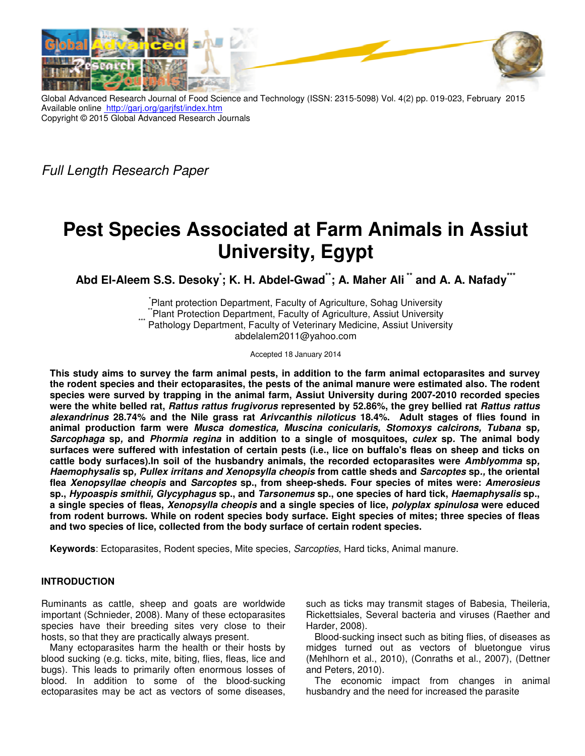

Global Advanced Research Journal of Food Science and Technology (ISSN: 2315-5098) Vol. 4(2) pp. 019-023, February 2015 Available online http://garj.org/garjfst/index.htm Copyright © 2015 Global Advanced Research Journals

Full Length Research Paper

# **Pest Species Associated at Farm Animals in Assiut University, Egypt**

**Abd El-Aleem S.S. Desoky\* ; K. H. Abdel-Gwad\*\*; A. Maher Ali \*\* and A. A. Nafady\*\*\*** 

\* Plant protection Department, Faculty of Agriculture, Sohag University Plant Protection Department, Faculty of Agriculture, Assiut University Pathology Department, Faculty of Veterinary Medicine, Assiut University abdelalem2011@yahoo.com

Accepted 18 January 2014

**This study aims to survey the farm animal pests, in addition to the farm animal ectoparasites and survey the rodent species and their ectoparasites, the pests of the animal manure were estimated also. The rodent species were surved by trapping in the animal farm, Assiut University during 2007-2010 recorded species were the white belled rat, Rattus rattus frugivorus represented by 52.86%, the grey bellied rat Rattus rattus alexandrinus 28.74% and the Nile grass rat Arivcanthis niloticus 18.4%. Adult stages of flies found in animal production farm were Musca domestica, Muscina conicularis, Stomoxys calcirons, Tubana sp, Sarcophaga sp, and Phormia regina in addition to a single of mosquitoes, culex sp. The animal body surfaces were suffered with infestation of certain pests (i.e., lice on buffalo's fleas on sheep and ticks on cattle body surfaces).In soil of the husbandry animals, the recorded ectoparasites were Amblyomma sp, Haemophysalis sp, Pullex irritans and Xenopsylla cheopis from cattle sheds and Sarcoptes sp., the oriental flea Xenopsyllae cheopis and Sarcoptes sp., from sheep-sheds. Four species of mites were: Amerosieus sp., Hypoaspis smithii, Glycyphagus sp., and Tarsonemus sp., one species of hard tick, Haemaphysalis sp., a single species of fleas, Xenopsylla cheopis and a single species of lice, polyplax spinulosa were educed from rodent burrows. While on rodent species body surface. Eight species of mites; three species of fleas and two species of lice, collected from the body surface of certain rodent species.** 

**Keywords**: Ectoparasites, Rodent species, Mite species, Sarcopties, Hard ticks, Animal manure.

## **INTRODUCTION**

Ruminants as cattle, sheep and goats are worldwide important (Schnieder, 2008). Many of these ectoparasites species have their breeding sites very close to their hosts, so that they are practically always present.

Many ectoparasites harm the health or their hosts by blood sucking (e.g. ticks, mite, biting, flies, fleas, lice and bugs). This leads to primarily often enormous losses of blood. In addition to some of the blood-sucking ectoparasites may be act as vectors of some diseases, such as ticks may transmit stages of Babesia, Theileria, Rickettsiales, Several bacteria and viruses (Raether and Harder, 2008).

Blood-sucking insect such as biting flies, of diseases as midges turned out as vectors of bluetongue virus (Mehlhorn et al., 2010), (Conraths et al., 2007), (Dettner and Peters, 2010).

The economic impact from changes in animal husbandry and the need for increased the parasite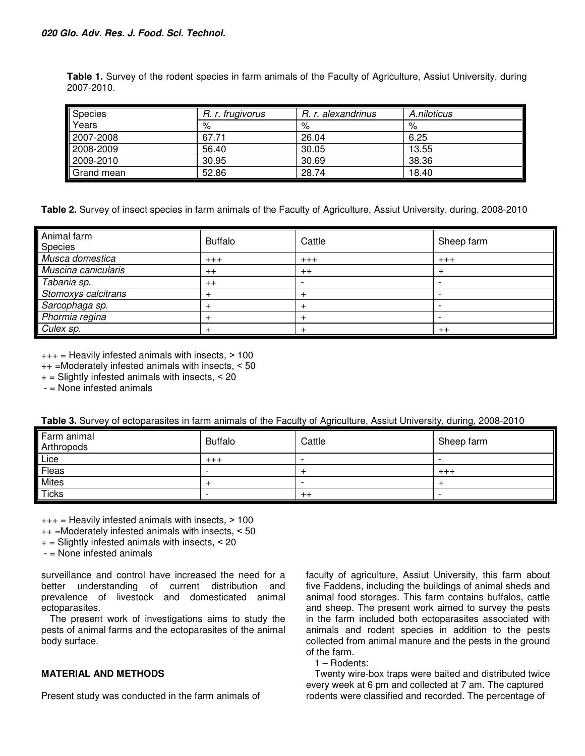**Table 1.** Survey of the rodent species in farm animals of the Faculty of Agriculture, Assiut University, during 2007-2010.

| Species      | R. r. frugivorus | R. r. alexandrinus | A.niloticus |
|--------------|------------------|--------------------|-------------|
| <b>Years</b> | %                | %                  | %           |
| 2007-2008    | 67.71            | 26.04              | 6.25        |
| 2008-2009    | 56.40            | 30.05              | 13.55       |
| 2009-2010    | 30.95            | 30.69              | 38.36       |
| Grand mean   | 52.86            | 28.74              | 18.40       |

**Table 2.** Survey of insect species in farm animals of the Faculty of Agriculture, Assiut University, during, 2008-2010

| Animal farm<br>Species | <b>Buffalo</b> | Cattle                   | Sheep farm |
|------------------------|----------------|--------------------------|------------|
| Musca domestica        | $+++$          | $+++$                    | $+++$      |
| Muscina canicularis    | $++$           | $++$                     | $\,{}^+$   |
| Tabania sp.            | $++$           | $\overline{\phantom{a}}$ |            |
| Stomoxys calcitrans    | $\div$         | $\pm$                    |            |
| Sarcophaga sp.         |                | $\,$                     |            |
| Phormia regina         |                |                          |            |
| Culex sp.              |                |                          | $++$       |

 $+++$  = Heavily infested animals with insects,  $> 100$ 

 $++$  =Moderately infested animals with insects,  $< 50$ 

 $+$  = Slightly infested animals with insects,  $<$  20

- = None infested animals

| Farm animal<br>Arthropods | <b>Buffalo</b> | Cattle                   | Sheep farm |
|---------------------------|----------------|--------------------------|------------|
| Lice                      | $^{+++}$       |                          |            |
| Fleas                     | -              |                          | $^{+++}$   |
| <b>Mites</b>              |                | $\overline{\phantom{0}}$ |            |
| <b>Ticks</b>              |                | $^{++}$                  |            |

 $+++$  = Heavily infested animals with insects,  $> 100$ 

++ =Moderately infested animals with insects, ˂ 50

 $+$  = Slightly infested animals with insects,  $<$  20

- = None infested animals

surveillance and control have increased the need for a better understanding of current distribution and prevalence of livestock and domesticated animal ectoparasites.

The present work of investigations aims to study the pests of animal farms and the ectoparasites of the animal body surface.

## **MATERIAL AND METHODS**

Present study was conducted in the farm animals of

faculty of agriculture, Assiut University, this farm about five Faddens, including the buildings of animal sheds and animal food storages. This farm contains buffalos, cattle and sheep. The present work aimed to survey the pests in the farm included both ectoparasites associated with animals and rodent species in addition to the pests collected from animal manure and the pests in the ground of the farm.

1 – Rodents:

Twenty wire-box traps were baited and distributed twice every week at 6 pm and collected at 7 am. The captured rodents were classified and recorded. The percentage of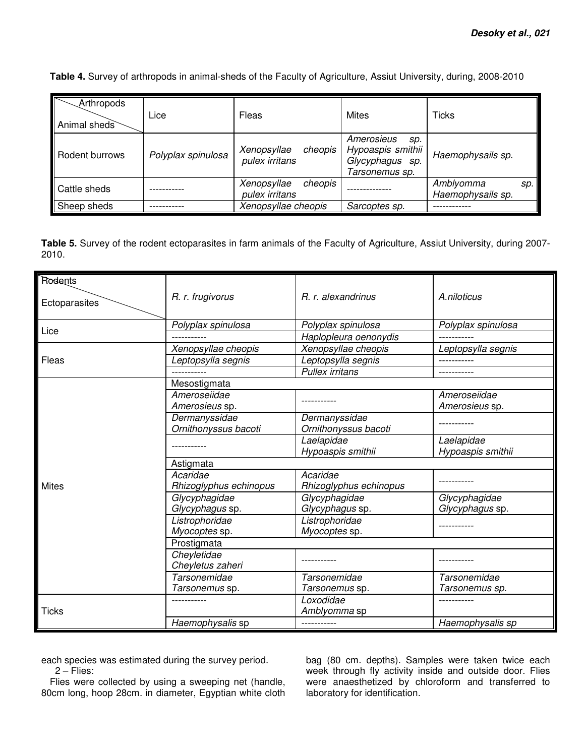**Table 4.** Survey of arthropods in animal-sheds of the Faculty of Agriculture, Assiut University, during, 2008-2010

| Arthropods<br>Animal sheds | Lice               | Fleas                                    | Mites                                                                       | Ticks                                 |
|----------------------------|--------------------|------------------------------------------|-----------------------------------------------------------------------------|---------------------------------------|
| Rodent burrows             | Polyplax spinulosa | Xenopsyllae<br>cheopis<br>pulex irritans | Amerosieus<br>SD.<br>Hypoaspis smithii<br>Glycyphagus sp.<br>Tarsonemus sp. | Haemophysails sp.                     |
| Il Cattle sheds            |                    | Xenopsyllae<br>cheopis<br>pulex irritans |                                                                             | Amblyomma<br>SD.<br>Haemophysails sp. |
| Sheep sheds                |                    | Xenopsyllae cheopis                      | Sarcoptes sp.                                                               |                                       |

**Table 5.** Survey of the rodent ectoparasites in farm animals of the Faculty of Agriculture, Assiut University, during 2007- 2010.

| Rodents       |                        |                        |                    |  |
|---------------|------------------------|------------------------|--------------------|--|
| Ectoparasites | R. r. frugivorus       | R. r. alexandrinus     | A.niloticus        |  |
| Lice          | Polyplax spinulosa     | Polyplax spinulosa     | Polyplax spinulosa |  |
|               |                        | Haplopleura oenonydis  |                    |  |
|               | Xenopsyllae cheopis    | Xenopsyllae cheopis    | Leptopsylla segnis |  |
| Fleas         | Leptopsylla segnis     | Leptopsylla segnis     |                    |  |
|               |                        | <b>Pullex irritans</b> |                    |  |
|               | Mesostigmata           |                        |                    |  |
|               | Ameroseiidae           |                        | Ameroseiidae       |  |
|               | Amerosieus sp.         |                        | Amerosieus sp.     |  |
|               | Dermanyssidae          | Dermanyssidae          |                    |  |
|               | Ornithonyssus bacoti   | Ornithonyssus bacoti   |                    |  |
|               |                        | Laelapidae             | Laelapidae         |  |
|               |                        | Hypoaspis smithii      | Hypoaspis smithii  |  |
|               | Astigmata              |                        |                    |  |
|               | Acaridae               | Acaridae               |                    |  |
| <b>Mites</b>  | Rhizoglyphus echinopus | Rhizoglyphus echinopus |                    |  |
|               | Glycyphagidae          | Glycyphagidae          | Glycyphagidae      |  |
|               | Glycyphagus sp.        | Glycyphagus sp.        | Glycyphagus sp.    |  |
|               | Listrophoridae         | Listrophoridae         |                    |  |
|               | Myocoptes sp.          | Myocoptes sp.          |                    |  |
|               | Prostigmata            |                        |                    |  |
|               | Cheyletidae            |                        |                    |  |
|               | Cheyletus zaheri       |                        |                    |  |
|               | Tarsonemidae           | Tarsonemidae           | Tarsonemidae       |  |
|               | Tarsonemus sp.         | Tarsonemus sp.         | Tarsonemus sp.     |  |
| <b>Ticks</b>  |                        | Loxodidae              |                    |  |
|               |                        | Amblyomma sp           |                    |  |
|               | Haemophysalis sp       |                        | Haemophysalis sp   |  |

each species was estimated during the survey period. 2 – Flies:

Flies were collected by using a sweeping net (handle, 80cm long, hoop 28cm. in diameter, Egyptian white cloth

bag (80 cm. depths). Samples were taken twice each week through fly activity inside and outside door. Flies were anaesthetized by chloroform and transferred to laboratory for identification.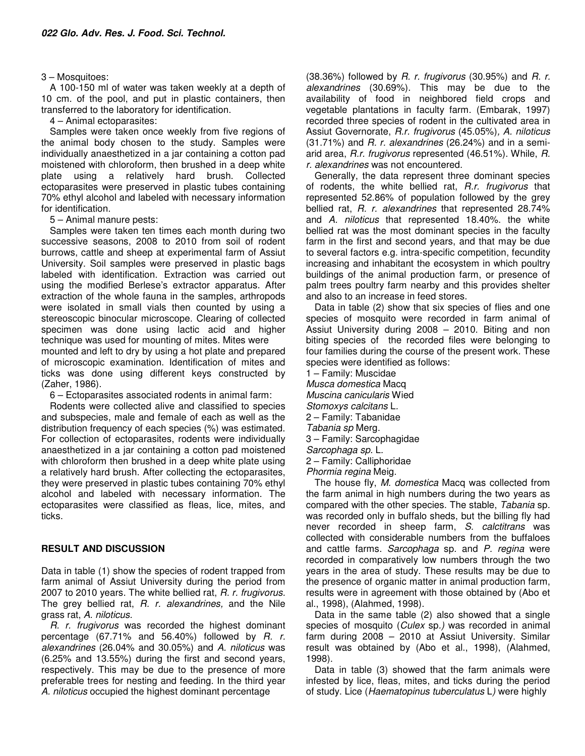### 3 – Mosquitoes:

A 100-150 ml of water was taken weekly at a depth of 10 cm. of the pool, and put in plastic containers, then transferred to the laboratory for identification.

4 – Animal ectoparasites:

Samples were taken once weekly from five regions of the animal body chosen to the study. Samples were individually anaesthetized in a jar containing a cotton pad moistened with chloroform, then brushed in a deep white plate using a relatively hard brush. Collected ectoparasites were preserved in plastic tubes containing 70% ethyl alcohol and labeled with necessary information for identification.

5 – Animal manure pests:

Samples were taken ten times each month during two successive seasons, 2008 to 2010 from soil of rodent burrows, cattle and sheep at experimental farm of Assiut University. Soil samples were preserved in plastic bags labeled with identification. Extraction was carried out using the modified Berlese's extractor apparatus. After extraction of the whole fauna in the samples, arthropods were isolated in small vials then counted by using a stereoscopic binocular microscope. Clearing of collected specimen was done using lactic acid and higher technique was used for mounting of mites. Mites were mounted and left to dry by using a hot plate and prepared of microscopic examination. Identification of mites and ticks was done using different keys constructed by (Zaher, 1986).

6 – Ectoparasites associated rodents in animal farm:

Rodents were collected alive and classified to species and subspecies, male and female of each as well as the distribution frequency of each species (%) was estimated. For collection of ectoparasites, rodents were individually anaesthetized in a jar containing a cotton pad moistened with chloroform then brushed in a deep white plate using a relatively hard brush. After collecting the ectoparasites, they were preserved in plastic tubes containing 70% ethyl alcohol and labeled with necessary information. The ectoparasites were classified as fleas, lice, mites, and ticks.

## **RESULT AND DISCUSSION**

Data in table (1) show the species of rodent trapped from farm animal of Assiut University during the period from 2007 to 2010 years. The white bellied rat, R. r. frugivorus. The grey bellied rat, R. r. alexandrines, and the Nile grass rat, A. niloticus.

R. r. frugivorus was recorded the highest dominant percentage (67.71% and 56.40%) followed by R. r. alexandrines (26.04% and 30.05%) and A. niloticus was (6.25% and 13.55%) during the first and second years, respectively. This may be due to the presence of more preferable trees for nesting and feeding. In the third year A. niloticus occupied the highest dominant percentage

 $(38.36%)$  followed by R. r. frugivorus  $(30.95%)$  and R. r. alexandrines (30.69%). This may be due to the availability of food in neighbored field crops and vegetable plantations in faculty farm. (Embarak, 1997) recorded three species of rodent in the cultivated area in Assiut Governorate, R.r. frugivorus (45.05%), A. niloticus  $(31.71\%)$  and R. r. alexandrines  $(26.24\%)$  and in a semiarid area, R.r. frugivorus represented (46.51%). While, R. r. alexandrines was not encountered.

Generally, the data represent three dominant species of rodents, the white bellied rat, R.r. frugivorus that represented 52.86% of population followed by the grey bellied rat, R. r. alexandrines that represented 28.74% and A. niloticus that represented 18.40%. the white bellied rat was the most dominant species in the faculty farm in the first and second years, and that may be due to several factors e.g. intra-specific competition, fecundity increasing and inhabitant the ecosystem in which poultry buildings of the animal production farm, or presence of palm trees poultry farm nearby and this provides shelter and also to an increase in feed stores.

Data in table (2) show that six species of flies and one species of mosquito were recorded in farm animal of Assiut University during 2008 – 2010. Biting and non biting species of the recorded files were belonging to four families during the course of the present work. These species were identified as follows:

1 – Family: Muscidae Musca domestica Macq Muscina canicularis Wied Stomoxys calcitans L. 2 – Family: Tabanidae Tabania sp Merg. 3 – Family: Sarcophagidae Sarcophaga sp. L. 2 – Family: Calliphoridae Phormia regina Meig.

The house fly, M. domestica Macq was collected from the farm animal in high numbers during the two years as compared with the other species. The stable, Tabania sp. was recorded only in buffalo sheds, but the billing fly had never recorded in sheep farm, S. calctitrans was collected with considerable numbers from the buffaloes and cattle farms. Sarcophaga sp. and P. regina were recorded in comparatively low numbers through the two years in the area of study. These results may be due to the presence of organic matter in animal production farm, results were in agreement with those obtained by (Abo et al., 1998), (Alahmed, 1998).

Data in the same table (2) also showed that a single species of mosquito (Culex sp.) was recorded in animal farm during 2008 – 2010 at Assiut University. Similar result was obtained by (Abo et al., 1998), (Alahmed, 1998).

Data in table (3) showed that the farm animals were infested by lice, fleas, mites, and ticks during the period of study. Lice (Haematopinus tuberculatus L) were highly